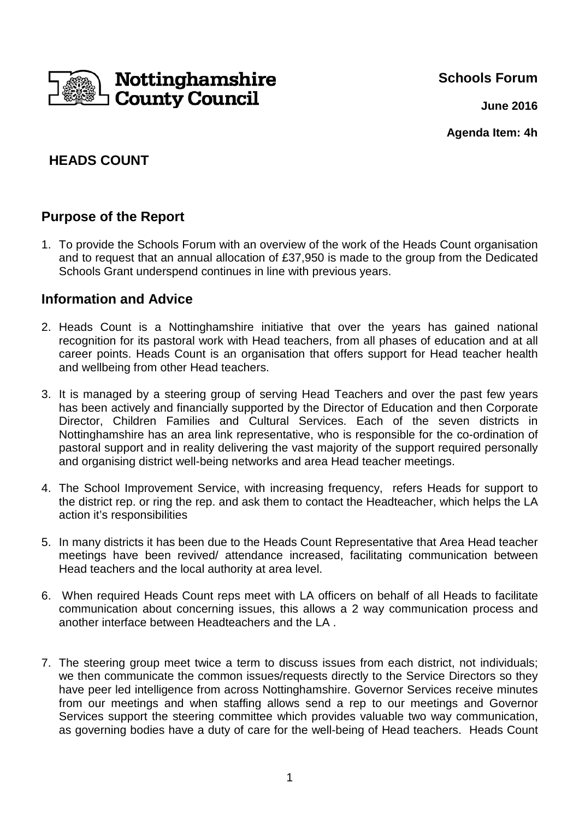

**Schools Forum**

**June 2016**

**Agenda Item: 4h**

# **HEADS COUNT**

### **Purpose of the Report**

1. To provide the Schools Forum with an overview of the work of the Heads Count organisation and to request that an annual allocation of £37,950 is made to the group from the Dedicated Schools Grant underspend continues in line with previous years.

### **Information and Advice**

- 2. Heads Count is a Nottinghamshire initiative that over the years has gained national recognition for its pastoral work with Head teachers, from all phases of education and at all career points. Heads Count is an organisation that offers support for Head teacher health and wellbeing from other Head teachers.
- 3. It is managed by a steering group of serving Head Teachers and over the past few years has been actively and financially supported by the Director of Education and then Corporate Director, Children Families and Cultural Services. Each of the seven districts in Nottinghamshire has an area link representative, who is responsible for the co-ordination of pastoral support and in reality delivering the vast majority of the support required personally and organising district well-being networks and area Head teacher meetings.
- 4. The School Improvement Service, with increasing frequency, refers Heads for support to the district rep. or ring the rep. and ask them to contact the Headteacher, which helps the LA action it's responsibilities
- 5. In many districts it has been due to the Heads Count Representative that Area Head teacher meetings have been revived/ attendance increased, facilitating communication between Head teachers and the local authority at area level.
- 6. When required Heads Count reps meet with LA officers on behalf of all Heads to facilitate communication about concerning issues, this allows a 2 way communication process and another interface between Headteachers and the LA .
- 7. The steering group meet twice a term to discuss issues from each district, not individuals; we then communicate the common issues/requests directly to the Service Directors so they have peer led intelligence from across Nottinghamshire. Governor Services receive minutes from our meetings and when staffing allows send a rep to our meetings and Governor Services support the steering committee which provides valuable two way communication, as governing bodies have a duty of care for the well-being of Head teachers. Heads Count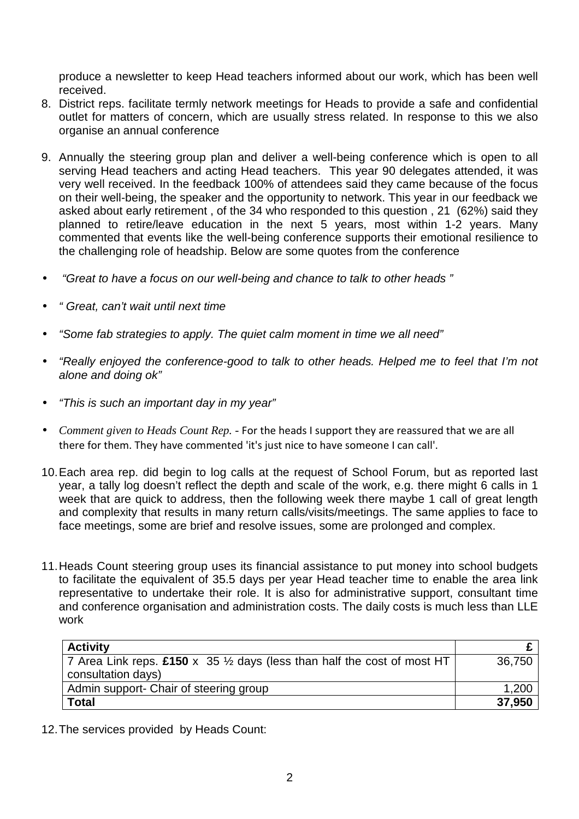produce a newsletter to keep Head teachers informed about our work, which has been well received.

- 8. District reps. facilitate termly network meetings for Heads to provide a safe and confidential outlet for matters of concern, which are usually stress related. In response to this we also organise an annual conference
- 9. Annually the steering group plan and deliver a well-being conference which is open to all serving Head teachers and acting Head teachers. This year 90 delegates attended, it was very well received. In the feedback 100% of attendees said they came because of the focus on their well-being, the speaker and the opportunity to network. This year in our feedback we asked about early retirement , of the 34 who responded to this question , 21 (62%) said they planned to retire/leave education in the next 5 years, most within 1-2 years. Many commented that events like the well-being conference supports their emotional resilience to the challenging role of headship. Below are some quotes from the conference
- "Great to have a focus on our well-being and chance to talk to other heads "
- " Great, can't wait until next time
- "Some fab strategies to apply. The quiet calm moment in time we all need"
- "Really enjoyed the conference-good to talk to other heads. Helped me to feel that I'm not alone and doing ok"
- "This is such an important day in my year"
- *Comment given to Heads Count Rep.* For the heads I support they are reassured that we are all there for them. They have commented 'it's just nice to have someone I can call'.
- 10. Each area rep. did begin to log calls at the request of School Forum, but as reported last year, a tally log doesn't reflect the depth and scale of the work, e.g. there might 6 calls in 1 week that are quick to address, then the following week there maybe 1 call of great length and complexity that results in many return calls/visits/meetings. The same applies to face to face meetings, some are brief and resolve issues, some are prolonged and complex.
- 11. Heads Count steering group uses its financial assistance to put money into school budgets to facilitate the equivalent of 35.5 days per year Head teacher time to enable the area link representative to undertake their role. It is also for administrative support, consultant time and conference organisation and administration costs. The daily costs is much less than LLE work

| <b>Activity</b>                                                                                            |        |
|------------------------------------------------------------------------------------------------------------|--------|
| 7 Area Link reps. £150 x 35 $\frac{1}{2}$ days (less than half the cost of most HT  <br>consultation days) | 36,750 |
| Admin support- Chair of steering group                                                                     | 1,200  |
| <b>Total</b>                                                                                               | 37,950 |

12. The services provided by Heads Count: